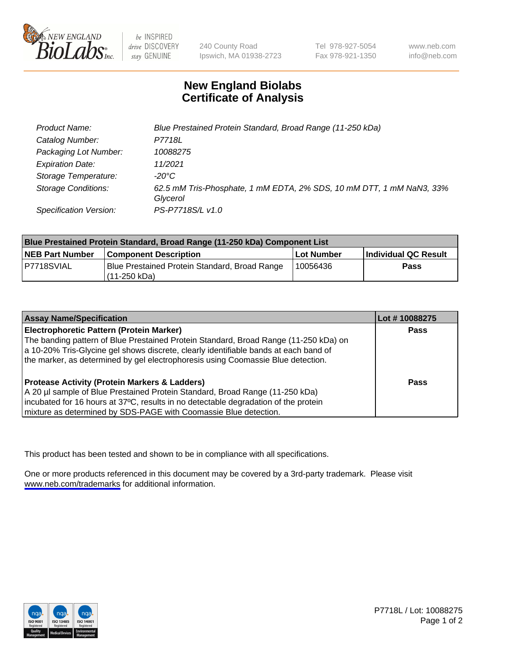

be INSPIRED drive DISCOVERY stay GENUINE

240 County Road Ipswich, MA 01938-2723 Tel 978-927-5054 Fax 978-921-1350

www.neb.com info@neb.com

## **New England Biolabs Certificate of Analysis**

| Product Name:              | Blue Prestained Protein Standard, Broad Range (11-250 kDa)                       |
|----------------------------|----------------------------------------------------------------------------------|
| Catalog Number:            | P7718L                                                                           |
| Packaging Lot Number:      | 10088275                                                                         |
| <b>Expiration Date:</b>    | 11/2021                                                                          |
| Storage Temperature:       | -20°C                                                                            |
| <b>Storage Conditions:</b> | 62.5 mM Tris-Phosphate, 1 mM EDTA, 2% SDS, 10 mM DTT, 1 mM NaN3, 33%<br>Glycerol |
| Specification Version:     | PS-P7718S/L v1.0                                                                 |

| <b>Blue Prestained Protein Standard, Broad Range (11-250 kDa) Component List</b> |                                                                 |              |                      |  |
|----------------------------------------------------------------------------------|-----------------------------------------------------------------|--------------|----------------------|--|
| <b>NEB Part Number</b>                                                           | <b>Component Description</b>                                    | l Lot Number | Individual QC Result |  |
| P7718SVIAL                                                                       | Blue Prestained Protein Standard, Broad Range<br>l (11-250 kDa) | l 10056436   | <b>Pass</b>          |  |

| <b>Assay Name/Specification</b>                                                      | Lot #10088275 |
|--------------------------------------------------------------------------------------|---------------|
| <b>Electrophoretic Pattern (Protein Marker)</b>                                      | <b>Pass</b>   |
| The banding pattern of Blue Prestained Protein Standard, Broad Range (11-250 kDa) on |               |
| a 10-20% Tris-Glycine gel shows discrete, clearly identifiable bands at each band of |               |
| the marker, as determined by gel electrophoresis using Coomassie Blue detection.     |               |
|                                                                                      |               |
| <b>Protease Activity (Protein Markers &amp; Ladders)</b>                             | <b>Pass</b>   |
| A 20 µl sample of Blue Prestained Protein Standard, Broad Range (11-250 kDa)         |               |
| incubated for 16 hours at 37°C, results in no detectable degradation of the protein  |               |
| mixture as determined by SDS-PAGE with Coomassie Blue detection.                     |               |

This product has been tested and shown to be in compliance with all specifications.

One or more products referenced in this document may be covered by a 3rd-party trademark. Please visit <www.neb.com/trademarks>for additional information.